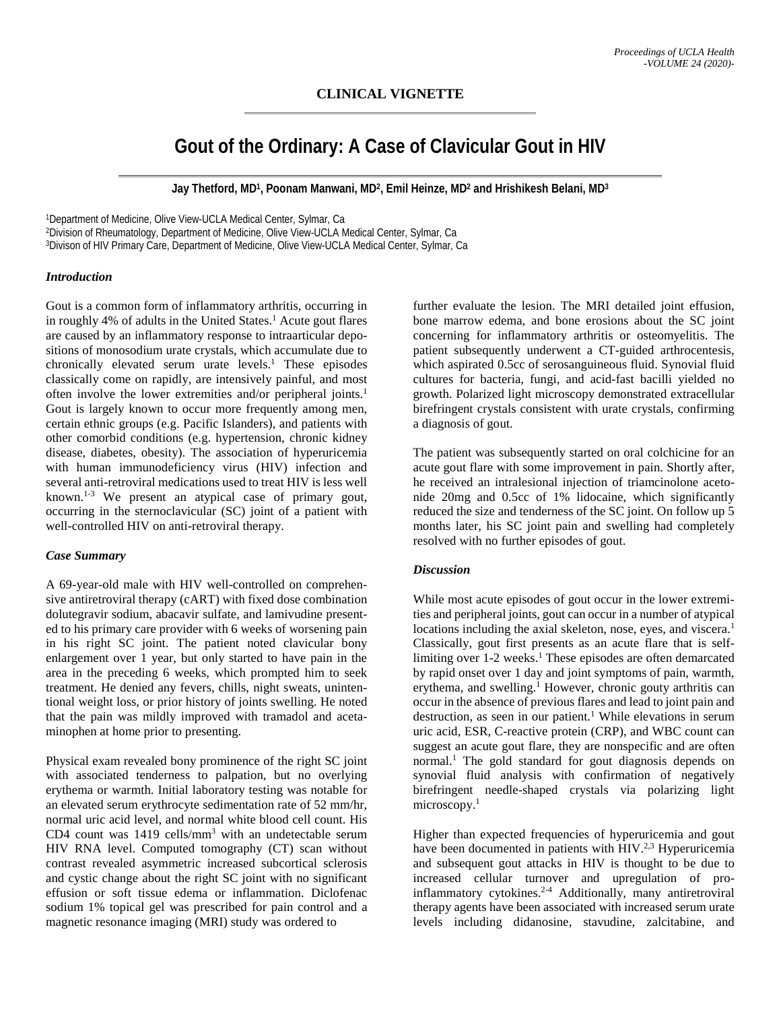# **Gout of the Ordinary: A Case of Clavicular Gout in HIV**

**Jay Thetford, MD1, Poonam Manwani, MD2, Emil Heinze, MD2 and Hrishikesh Belani, MD3**

1Department of Medicine, Olive View-UCLA Medical Center, Sylmar, Ca 2Division of Rheumatology, Department of Medicine, Olive View-UCLA Medical Center, Sylmar, Ca 3Divison of HIV Primary Care, Department of Medicine, Olive View-UCLA Medical Center, Sylmar, Ca

## *Introduction*

Gout is a common form of inflammatory arthritis, occurring in in roughly 4% of adults in the United States.<sup>1</sup> Acute gout flares are caused by an inflammatory response to intraarticular depositions of monosodium urate crystals, which accumulate due to chronically elevated serum urate levels.<sup>1</sup> These episodes classically come on rapidly, are intensively painful, and most often involve the lower extremities and/or peripheral joints.1 Gout is largely known to occur more frequently among men, certain ethnic groups (e.g. Pacific Islanders), and patients with other comorbid conditions (e.g. hypertension, chronic kidney disease, diabetes, obesity). The association of hyperuricemia with human immunodeficiency virus (HIV) infection and several anti-retroviral medications used to treat HIV is less well known.1-3 We present an atypical case of primary gout, occurring in the sternoclavicular (SC) joint of a patient with well-controlled HIV on anti-retroviral therapy.

#### *Case Summary*

A 69-year-old male with HIV well-controlled on comprehensive antiretroviral therapy (cART) with fixed dose combination dolutegravir sodium, abacavir sulfate, and lamivudine presented to his primary care provider with 6 weeks of worsening pain in his right SC joint. The patient noted clavicular bony enlargement over 1 year, but only started to have pain in the area in the preceding 6 weeks, which prompted him to seek treatment. He denied any fevers, chills, night sweats, unintentional weight loss, or prior history of joints swelling. He noted that the pain was mildly improved with tramadol and acetaminophen at home prior to presenting.

Physical exam revealed bony prominence of the right SC joint with associated tenderness to palpation, but no overlying erythema or warmth. Initial laboratory testing was notable for an elevated serum erythrocyte sedimentation rate of 52 mm/hr, normal uric acid level, and normal white blood cell count. His CD4 count was 1419 cells/mm<sup>3</sup> with an undetectable serum HIV RNA level. Computed tomography (CT) scan without contrast revealed asymmetric increased subcortical sclerosis and cystic change about the right SC joint with no significant effusion or soft tissue edema or inflammation. Diclofenac sodium 1% topical gel was prescribed for pain control and a magnetic resonance imaging (MRI) study was ordered to

further evaluate the lesion. The MRI detailed joint effusion, bone marrow edema, and bone erosions about the SC joint concerning for inflammatory arthritis or osteomyelitis. The patient subsequently underwent a CT-guided arthrocentesis, which aspirated 0.5cc of serosanguineous fluid. Synovial fluid cultures for bacteria, fungi, and acid-fast bacilli yielded no growth. Polarized light microscopy demonstrated extracellular birefringent crystals consistent with urate crystals, confirming a diagnosis of gout.

The patient was subsequently started on oral colchicine for an acute gout flare with some improvement in pain. Shortly after, he received an intralesional injection of triamcinolone acetonide 20mg and 0.5cc of 1% lidocaine, which significantly reduced the size and tenderness of the SC joint. On follow up 5 months later, his SC joint pain and swelling had completely resolved with no further episodes of gout.

# *Discussion*

While most acute episodes of gout occur in the lower extremities and peripheral joints, gout can occur in a number of atypical locations including the axial skeleton, nose, eyes, and viscera.<sup>1</sup> Classically, gout first presents as an acute flare that is selflimiting over 1-2 weeks.<sup>1</sup> These episodes are often demarcated by rapid onset over 1 day and joint symptoms of pain, warmth, erythema, and swelling.<sup>1</sup> However, chronic gouty arthritis can occur in the absence of previous flares and lead to joint pain and destruction, as seen in our patient.<sup>1</sup> While elevations in serum uric acid, ESR, C-reactive protein (CRP), and WBC count can suggest an acute gout flare, they are nonspecific and are often normal.<sup>1</sup> The gold standard for gout diagnosis depends on synovial fluid analysis with confirmation of negatively birefringent needle-shaped crystals via polarizing light microscopy.<sup>1</sup>

Higher than expected frequencies of hyperuricemia and gout have been documented in patients with HIV.<sup>2,3</sup> Hyperuricemia and subsequent gout attacks in HIV is thought to be due to increased cellular turnover and upregulation of proinflammatory cytokines.2-4 Additionally, many antiretroviral therapy agents have been associated with increased serum urate levels including didanosine, stavudine, zalcitabine, and